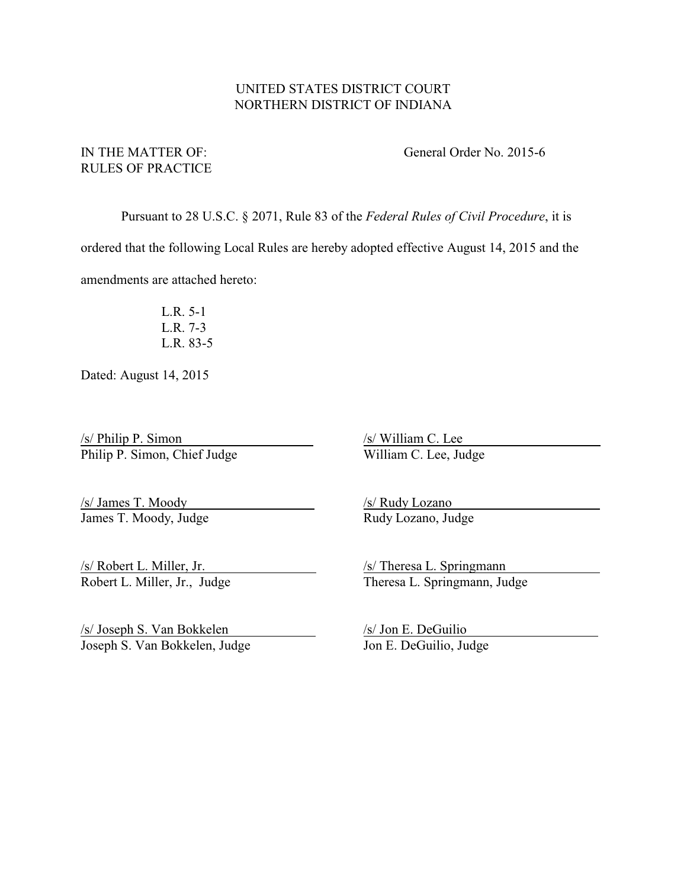## UNITED STATES DISTRICT COURT NORTHERN DISTRICT OF INDIANA

# RULES OF PRACTICE

IN THE MATTER OF: General Order No. 2015-6

Pursuant to 28 U.S.C. § 2071, Rule 83 of the *Federal Rules of Civil Procedure*, it is

ordered that the following Local Rules are hereby adopted effective August 14, 2015 and the

amendments are attached hereto:

L.R. 5-1 L.R. 7-3 L.R. 83-5

Dated: August 14, 2015

 $\frac{\text{S/Nilliam C. Lee}}{\text{Philip P. Simon}}$  /s/ William C. Lee Philip P. Simon, Chief Judge Philip P. Simon, Chief Judge

/s/ James T. Moody /s/ Rudy Lozano James T. Moody, Judge Rudy Lozano, Judge

 $\frac{\sqrt{s}}{\text{Joseph S. Van Bokkelen}}$  /s/ Jon E. DeGuilio Joseph S. Van Bokkelen, Judge Jon E. DeGuilio, Judge Joseph S. Van Bokkelen, Judge

S/ Robert L. Miller, Jr. (S) Theresa L. Springmann<br>Robert L. Miller, Jr., Judge Theresa L. Springmann, Jud Theresa L. Springmann, Judge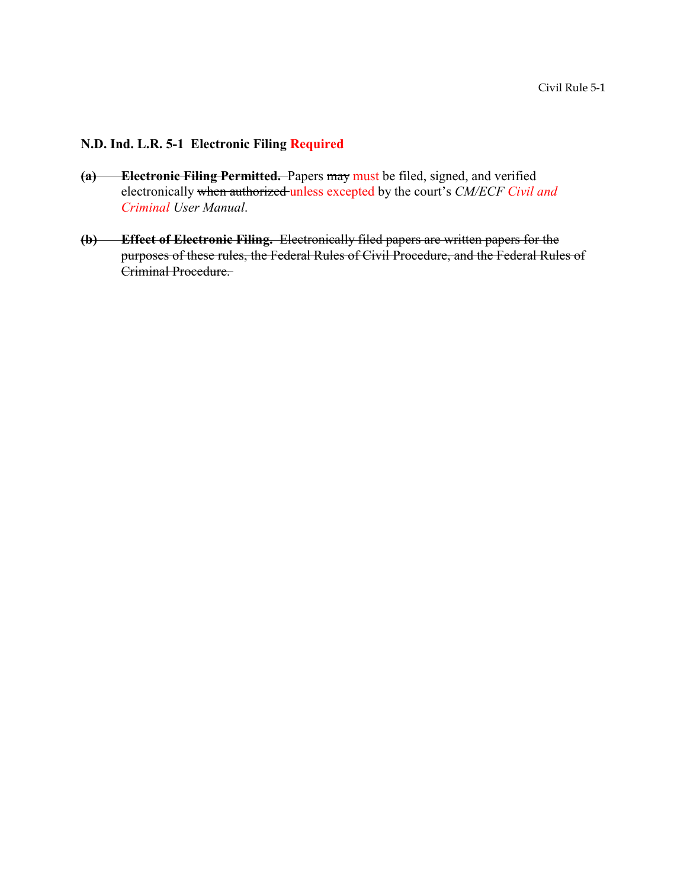# **N.D. Ind. L.R. 5-1 Electronic Filing Required**

- **(a) Electronic Filing Permitted.** Papers may must be filed, signed, and verified electronically when authorized unless excepted by the court's *CM/ECF Civil and Criminal User Manual*.
- **(b) Effect of Electronic Filing.** Electronically filed papers are written papers for the purposes of these rules, the Federal Rules of Civil Procedure, and the Federal Rules of Criminal Procedure.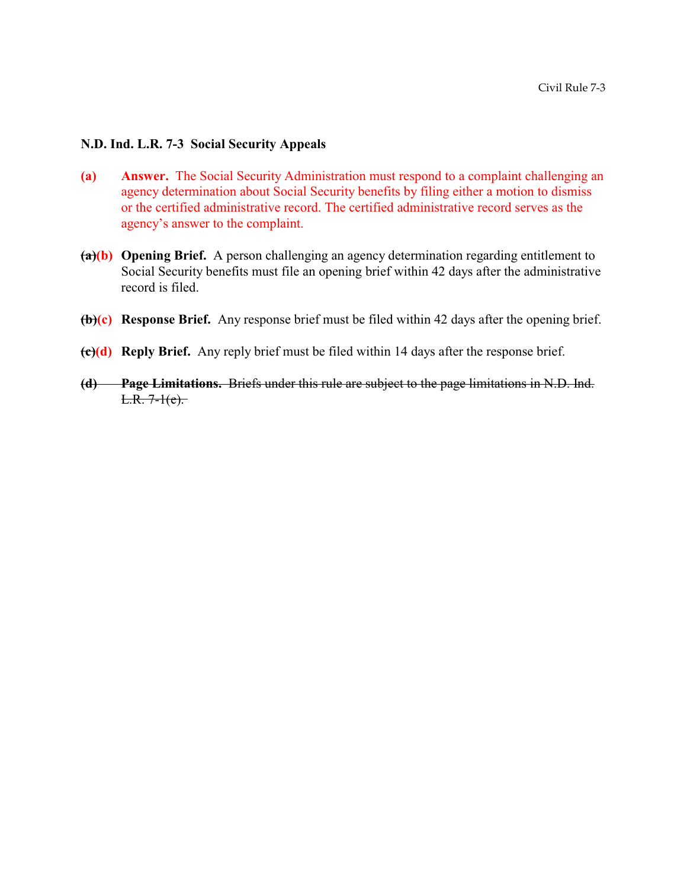### **N.D. Ind. L.R. 7-3 Social Security Appeals**

- **(a) Answer.** The Social Security Administration must respond to a complaint challenging an agency determination about Social Security benefits by filing either a motion to dismiss or the certified administrative record. The certified administrative record serves as the agency's answer to the complaint.
- **(a)(b) Opening Brief.** A person challenging an agency determination regarding entitlement to Social Security benefits must file an opening brief within 42 days after the administrative record is filed.
- **(b)(c) Response Brief.** Any response brief must be filed within 42 days after the opening brief.
- **(c)(d) Reply Brief.** Any reply brief must be filed within 14 days after the response brief.
- **(d) Page Limitations.** Briefs under this rule are subject to the page limitations in N.D. Ind.  $L.R. 7-1(e).$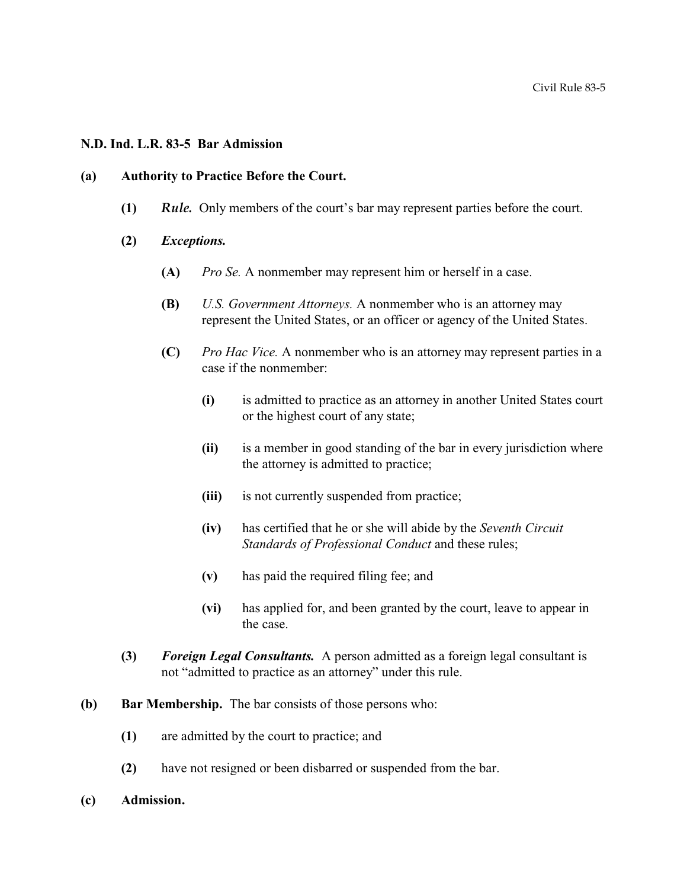#### **N.D. Ind. L.R. 83-5 Bar Admission**

#### **(a) Authority to Practice Before the Court.**

- **(1)** *Rule.* Only members of the court's bar may represent parties before the court.
- **(2)** *Exceptions.* 
	- **(A)** *Pro Se.* A nonmember may represent him or herself in a case.
	- **(B)** *U.S. Government Attorneys.* A nonmember who is an attorney may represent the United States, or an officer or agency of the United States.
	- **(C)** *Pro Hac Vice.* A nonmember who is an attorney may represent parties in a case if the nonmember:
		- **(i)** is admitted to practice as an attorney in another United States court or the highest court of any state;
		- **(ii)** is a member in good standing of the bar in every jurisdiction where the attorney is admitted to practice;
		- **(iii)** is not currently suspended from practice;
		- **(iv)** has certified that he or she will abide by the *Seventh Circuit Standards of Professional Conduct* and these rules;
		- **(v)** has paid the required filing fee; and
		- **(vi)** has applied for, and been granted by the court, leave to appear in the case.
- **(3)** *Foreign Legal Consultants.* A person admitted as a foreign legal consultant is not "admitted to practice as an attorney" under this rule.
- **(b) Bar Membership.** The bar consists of those persons who:
	- **(1)** are admitted by the court to practice; and
	- **(2)** have not resigned or been disbarred or suspended from the bar.
- **(c) Admission.**